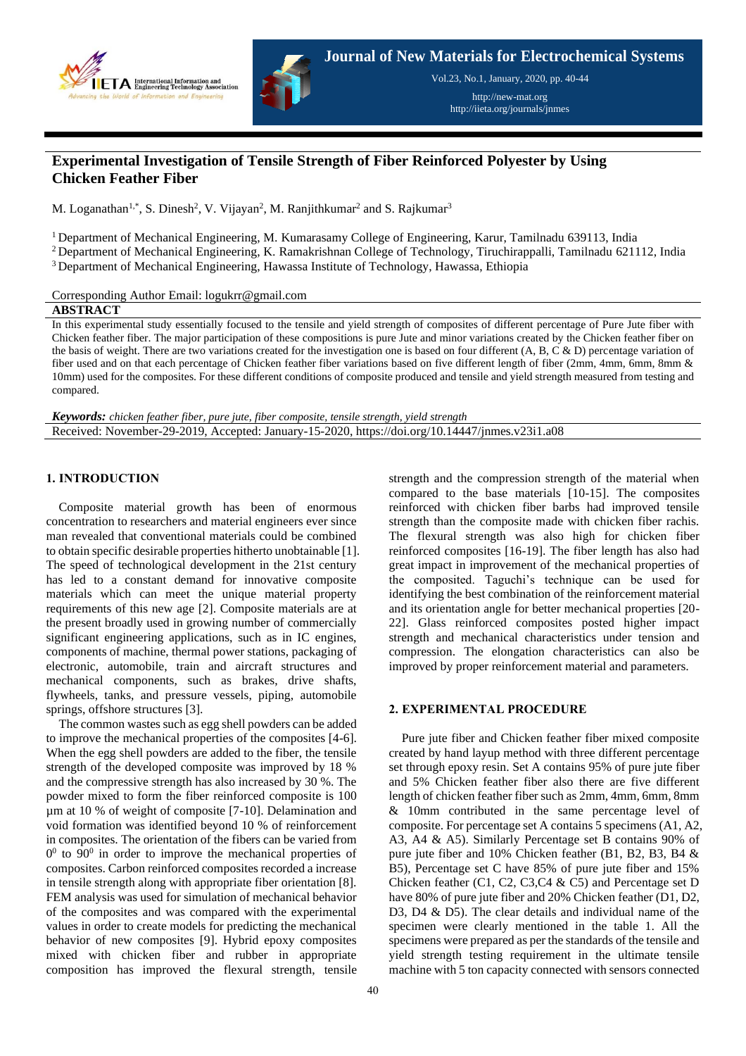



**Journal of New Materials for Electrochemical Systems**

Vol.23, No.1, January, 2020, pp. 40-44

http://new-mat.org http://iieta.org/journals/jnmes

# **Experimental Investigation of Tensile Strength of Fiber Reinforced Polyester by Using Chicken Feather Fiber**

M. Loganathan<sup>1,\*</sup>, S. Dinesh<sup>2</sup>, V. Vijayan<sup>2</sup>, M. Ranjithkumar<sup>2</sup> and S. Rajkumar<sup>3</sup>

<sup>1</sup> Department of Mechanical Engineering, M. Kumarasamy College of Engineering, Karur, Tamilnadu 639113, India

<sup>2</sup> Department of Mechanical Engineering, K. Ramakrishnan College of Technology, Tiruchirappalli, Tamilnadu 621112, India <sup>3</sup> Department of Mechanical Engineering, Hawassa Institute of Technology, Hawassa, Ethiopia

Corresponding Author Email: logukrr@gmail.com

## **ABSTRACT**

In this experimental study essentially focused to the tensile and yield strength of composites of different percentage of Pure Jute fiber with Chicken feather fiber. The major participation of these compositions is pure Jute and minor variations created by the Chicken feather fiber on the basis of weight. There are two variations created for the investigation one is based on four different  $(A, B, C \& D)$  percentage variation of fiber used and on that each percentage of Chicken feather fiber variations based on five different length of fiber (2mm, 4mm, 6mm, 8mm & 10mm) used for the composites. For these different conditions of composite produced and tensile and yield strength measured from testing and compared.

*Keywords: chicken feather fiber, pure jute, fiber composite, tensile strength, yield strength* Received: November-29-2019, Accepted: January-15-2020, https://doi.org/10.14447/jnmes.v23i1.a08

## **1. INTRODUCTION**

Composite material growth has been of enormous concentration to researchers and material engineers ever since man revealed that conventional materials could be combined to obtain specific desirable properties hitherto unobtainable [1]. The speed of technological development in the 21st century has led to a constant demand for innovative composite materials which can meet the unique material property requirements of this new age [2]. Composite materials are at the present broadly used in growing number of commercially significant engineering applications, such as in IC engines, components of machine, thermal power stations, packaging of electronic, automobile, train and aircraft structures and mechanical components, such as brakes, drive shafts, flywheels, tanks, and pressure vessels, piping, automobile springs, offshore structures [3].

The common wastes such as egg shell powders can be added to improve the mechanical properties of the composites [4-6]. When the egg shell powders are added to the fiber, the tensile strength of the developed composite was improved by 18 % and the compressive strength has also increased by 30 %. The powder mixed to form the fiber reinforced composite is 100 µm at 10 % of weight of composite [7-10]. Delamination and void formation was identified beyond 10 % of reinforcement in composites. The orientation of the fibers can be varied from  $0<sup>0</sup>$  to 90<sup>0</sup> in order to improve the mechanical properties of composites. Carbon reinforced composites recorded a increase in tensile strength along with appropriate fiber orientation [8]. FEM analysis was used for simulation of mechanical behavior of the composites and was compared with the experimental values in order to create models for predicting the mechanical behavior of new composites [9]. Hybrid epoxy composites mixed with chicken fiber and rubber in appropriate composition has improved the flexural strength, tensile

strength and the compression strength of the material when compared to the base materials [10-15]. The composites reinforced with chicken fiber barbs had improved tensile strength than the composite made with chicken fiber rachis. The flexural strength was also high for chicken fiber reinforced composites [16-19]. The fiber length has also had great impact in improvement of the mechanical properties of the composited. Taguchi's technique can be used for identifying the best combination of the reinforcement material and its orientation angle for better mechanical properties [20- 22]. Glass reinforced composites posted higher impact strength and mechanical characteristics under tension and compression. The elongation characteristics can also be improved by proper reinforcement material and parameters.

# **2. EXPERIMENTAL PROCEDURE**

Pure jute fiber and Chicken feather fiber mixed composite created by hand layup method with three different percentage set through epoxy resin. Set A contains 95% of pure jute fiber and 5% Chicken feather fiber also there are five different length of chicken feather fiber such as 2mm, 4mm, 6mm, 8mm & 10mm contributed in the same percentage level of composite. For percentage set A contains 5 specimens (A1, A2, A3, A4 & A5). Similarly Percentage set B contains 90% of pure jute fiber and 10% Chicken feather (B1, B2, B3, B4 & B5), Percentage set C have 85% of pure jute fiber and 15% Chicken feather (C1, C2, C3,C4 & C5) and Percentage set D have 80% of pure jute fiber and 20% Chicken feather (D1, D2, D3, D4 & D5). The clear details and individual name of the specimen were clearly mentioned in the table 1. All the specimens were prepared as per the standards of the tensile and yield strength testing requirement in the ultimate tensile machine with 5 ton capacity connected with sensors connected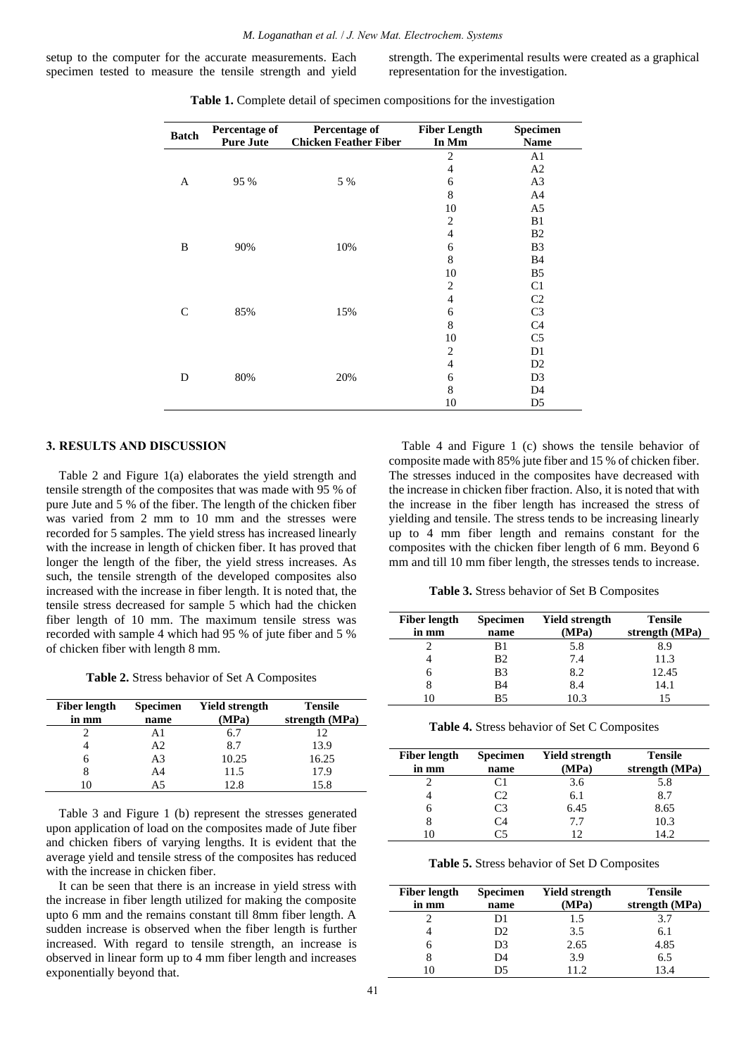setup to the computer for the accurate measurements. Each specimen tested to measure the tensile strength and yield strength. The experimental results were created as a graphical representation for the investigation.

| <b>Batch</b> | <b>Percentage of</b><br><b>Pure Jute</b> | Percentage of<br><b>Chicken Feather Fiber</b> | <b>Fiber Length</b><br>In Mm | Specimen<br><b>Name</b> |
|--------------|------------------------------------------|-----------------------------------------------|------------------------------|-------------------------|
|              |                                          |                                               | 2                            | A1                      |
|              |                                          |                                               | $\overline{4}$               | A <sub>2</sub>          |
| A            | 95 %                                     | 5 %                                           | 6                            | A <sub>3</sub>          |
|              |                                          |                                               | 8                            | A <sub>4</sub>          |
|              |                                          |                                               | 10                           | A5                      |
| B            | 90%                                      |                                               | 2                            | B1                      |
|              |                                          |                                               | $\overline{4}$               | B <sub>2</sub>          |
|              |                                          | 10%                                           | 6                            | B <sub>3</sub>          |
|              |                                          |                                               | 8                            | <b>B</b> 4              |
|              |                                          |                                               | 10                           | B <sub>5</sub>          |
|              |                                          |                                               | $\overline{2}$               | C <sub>1</sub>          |
|              |                                          |                                               | $\overline{4}$               | C <sub>2</sub>          |
| C            | 85%                                      | 15%                                           | 6                            | C <sub>3</sub>          |
|              |                                          |                                               | 8                            | C <sub>4</sub>          |
|              |                                          |                                               | 10                           | C <sub>5</sub>          |
| D            | 80%                                      |                                               | $\overline{2}$               | D1                      |
|              |                                          |                                               | $\overline{4}$               | D2                      |
|              |                                          | 20%                                           | 6                            | D <sub>3</sub>          |
|              |                                          |                                               | 8                            | D <sub>4</sub>          |
|              |                                          |                                               | 10                           | D <sub>5</sub>          |

**Table 1.** Complete detail of specimen compositions for the investigation

#### **3. RESULTS AND DISCUSSION**

Table 2 and Figure 1(a) elaborates the yield strength and tensile strength of the composites that was made with 95 % of pure Jute and 5 % of the fiber. The length of the chicken fiber was varied from 2 mm to 10 mm and the stresses were recorded for 5 samples. The yield stress has increased linearly with the increase in length of chicken fiber. It has proved that longer the length of the fiber, the yield stress increases. As such, the tensile strength of the developed composites also increased with the increase in fiber length. It is noted that, the tensile stress decreased for sample 5 which had the chicken fiber length of 10 mm. The maximum tensile stress was recorded with sample 4 which had 95 % of jute fiber and 5 % of chicken fiber with length 8 mm.

**Table 2.** Stress behavior of Set A Composites

| <b>Fiber length</b><br>in mm | <b>Specimen</b><br>name | Yield strength<br>(MPa) | <b>Tensile</b><br>strength (MPa) |
|------------------------------|-------------------------|-------------------------|----------------------------------|
|                              | Αl                      | 6.7                     | 12                               |
|                              | A2                      | 8.7                     | 13.9                             |
| h                            | A3                      | 10.25                   | 16.25                            |
|                              | A4                      | 11.5                    | 17.9                             |
|                              | А5                      | 12.8                    | 15.8                             |

Table 3 and Figure 1 (b) represent the stresses generated upon application of load on the composites made of Jute fiber and chicken fibers of varying lengths. It is evident that the average yield and tensile stress of the composites has reduced with the increase in chicken fiber.

It can be seen that there is an increase in yield stress with the increase in fiber length utilized for making the composite upto 6 mm and the remains constant till 8mm fiber length. A sudden increase is observed when the fiber length is further increased. With regard to tensile strength, an increase is observed in linear form up to 4 mm fiber length and increases exponentially beyond that.

Table 4 and Figure 1 (c) shows the tensile behavior of composite made with 85% jute fiber and 15 % of chicken fiber. The stresses induced in the composites have decreased with the increase in chicken fiber fraction. Also, it is noted that with the increase in the fiber length has increased the stress of yielding and tensile. The stress tends to be increasing linearly up to 4 mm fiber length and remains constant for the composites with the chicken fiber length of 6 mm. Beyond 6 mm and till 10 mm fiber length, the stresses tends to increase.

**Table 3.** Stress behavior of Set B Composites

| <b>Fiber length</b> | <b>Specimen</b> | Yield strength | <b>Tensile</b> |
|---------------------|-----------------|----------------|----------------|
| in mm               | name            | (MPa)          | strength (MPa) |
|                     | B1              | 5.8            | 8.9            |
|                     | B <sub>2</sub>  | 7.4            | 11.3           |
| h                   | B <sub>3</sub>  | 8.2            | 12.45          |
| 8                   | B <sub>4</sub>  | 8.4            | 14.1           |
|                     | <b>B5</b>       | 10.3           | 15             |

**Table 4.** Stress behavior of Set C Composites

| <b>Fiber length</b><br>in mm | <b>Specimen</b><br>name | Yield strength<br>(MPa) | <b>Tensile</b><br>strength (MPa) |
|------------------------------|-------------------------|-------------------------|----------------------------------|
|                              | 81                      | 3.6                     | 5.8                              |
|                              | C2                      | 6.1                     | 8.7                              |
| h                            | C3                      | 6.45                    | 8.65                             |
|                              | Γ4                      | 77                      | 10.3                             |
|                              |                         | 12                      | 14.2                             |

**Table 5.** Stress behavior of Set D Composites

| <b>Fiber length</b> | <b>Specimen</b> | <b>Yield strength</b> | <b>Tensile</b>  |
|---------------------|-----------------|-----------------------|-----------------|
| in mm               | name            | (MPa)                 | strength (MPa)  |
|                     | D1              | 1.5                   | 3.7             |
|                     | D <sub>2</sub>  | 3.5                   | 6.1             |
|                     | D3              | 2.65                  | 4.85            |
|                     | D4              | 3.9                   | 6.5             |
|                     | D5              |                       | $\overline{34}$ |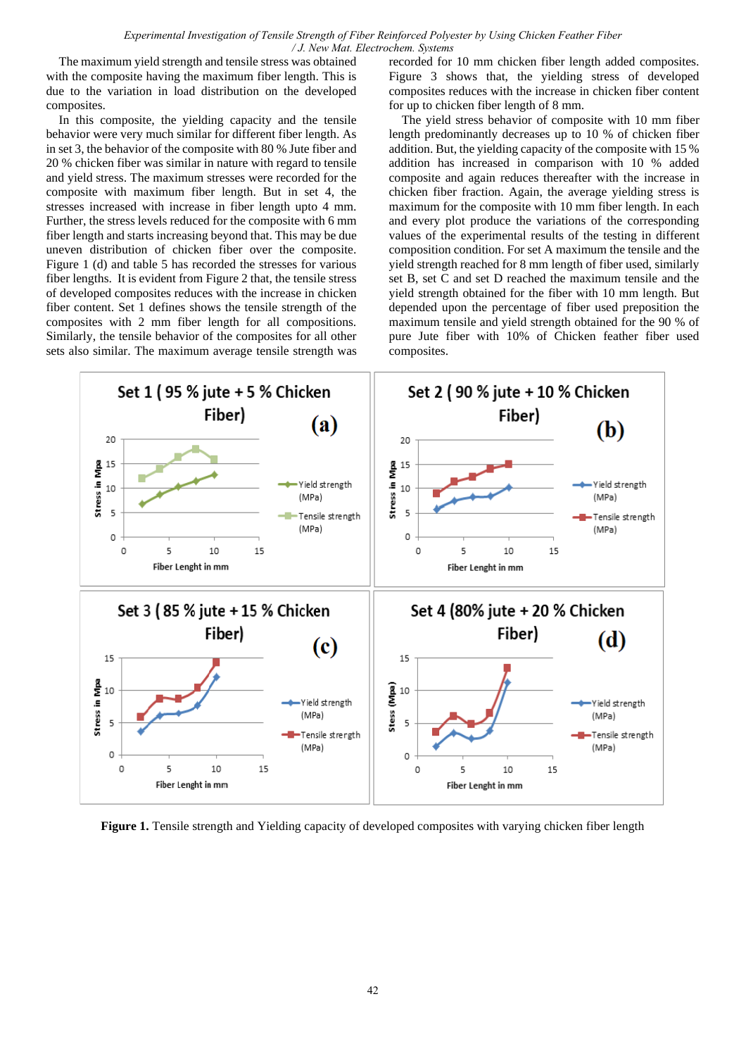*Experimental Investigation of Tensile Strength of Fiber Reinforced Polyester by Using Chicken Feather Fiber / J. New Mat. Electrochem. Systems*

The maximum yield strength and tensile stress was obtained with the composite having the maximum fiber length. This is due to the variation in load distribution on the developed composites.

In this composite, the yielding capacity and the tensile behavior were very much similar for different fiber length. As in set 3, the behavior of the composite with 80 % Jute fiber and 20 % chicken fiber was similar in nature with regard to tensile and yield stress. The maximum stresses were recorded for the composite with maximum fiber length. But in set 4, the stresses increased with increase in fiber length upto 4 mm. Further, the stress levels reduced for the composite with 6 mm fiber length and starts increasing beyond that. This may be due uneven distribution of chicken fiber over the composite. Figure 1 (d) and table 5 has recorded the stresses for various fiber lengths. It is evident from Figure 2 that, the tensile stress of developed composites reduces with the increase in chicken fiber content. Set 1 defines shows the tensile strength of the composites with 2 mm fiber length for all compositions. Similarly, the tensile behavior of the composites for all other sets also similar. The maximum average tensile strength was recorded for 10 mm chicken fiber length added composites. Figure 3 shows that, the yielding stress of developed composites reduces with the increase in chicken fiber content for up to chicken fiber length of 8 mm.

The yield stress behavior of composite with 10 mm fiber length predominantly decreases up to 10 % of chicken fiber addition. But, the yielding capacity of the composite with 15 % addition has increased in comparison with 10 % added composite and again reduces thereafter with the increase in chicken fiber fraction. Again, the average yielding stress is maximum for the composite with 10 mm fiber length. In each and every plot produce the variations of the corresponding values of the experimental results of the testing in different composition condition. For set A maximum the tensile and the yield strength reached for 8 mm length of fiber used, similarly set B, set C and set D reached the maximum tensile and the yield strength obtained for the fiber with 10 mm length. But depended upon the percentage of fiber used preposition the maximum tensile and yield strength obtained for the 90 % of pure Jute fiber with 10% of Chicken feather fiber used composites.



**Figure 1.** Tensile strength and Yielding capacity of developed composites with varying chicken fiber length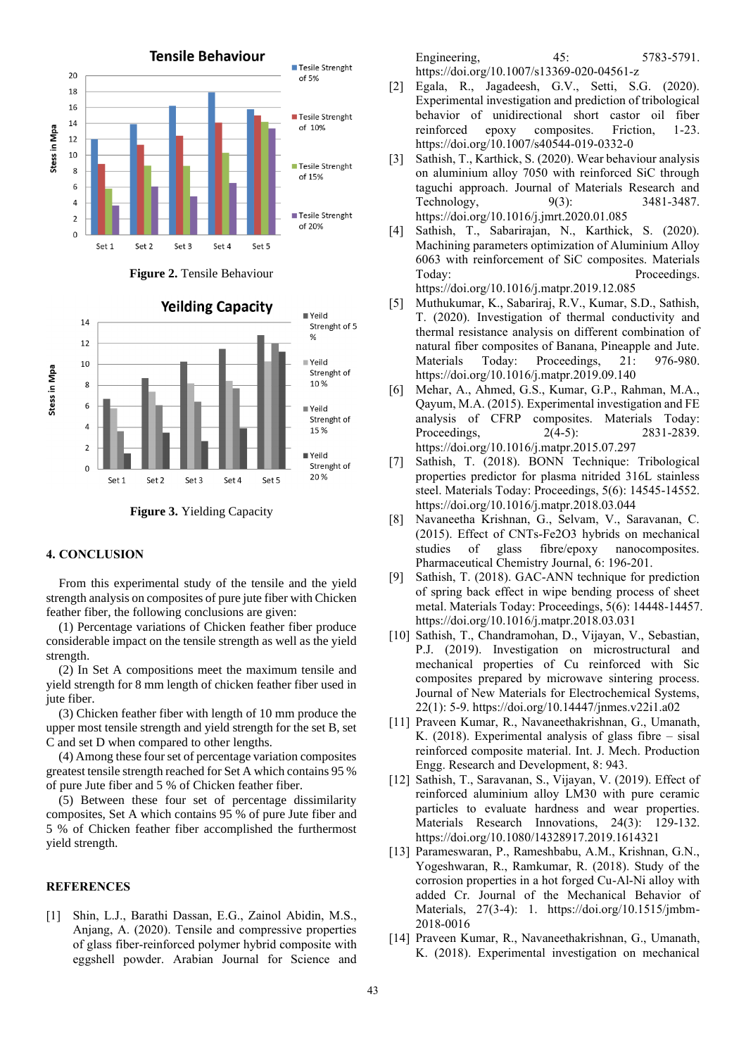

**Figure 2.** Tensile Behaviour



**Figure 3.** Yielding Capacity

#### **4. CONCLUSION**

From this experimental study of the tensile and the yield strength analysis on composites of pure jute fiber with Chicken feather fiber, the following conclusions are given:

(1) Percentage variations of Chicken feather fiber produce considerable impact on the tensile strength as well as the yield strength.

(2) In Set A compositions meet the maximum tensile and yield strength for 8 mm length of chicken feather fiber used in jute fiber.

(3) Chicken feather fiber with length of 10 mm produce the upper most tensile strength and yield strength for the set B, set C and set D when compared to other lengths.

(4) Among these four set of percentage variation composites greatest tensile strength reached for Set A which contains 95 % of pure Jute fiber and 5 % of Chicken feather fiber.

(5) Between these four set of percentage dissimilarity composites, Set A which contains 95 % of pure Jute fiber and 5 % of Chicken feather fiber accomplished the furthermost yield strength.

### **REFERENCES**

[1] Shin, L.J., Barathi Dassan, E.G., Zainol Abidin, M.S., Anjang, A. (2020). Tensile and compressive properties of glass fiber-reinforced polymer hybrid composite with eggshell powder. Arabian Journal for Science and Engineering, 45: 5783-5791. https://doi.org/10.1007/s13369-020-04561-z

- [2] Egala, R., Jagadeesh, G.V., Setti, S.G. (2020). Experimental investigation and prediction of tribological behavior of unidirectional short castor oil fiber reinforced epoxy composites. Friction, 1-23. https://doi.org/10.1007/s40544-019-0332-0
- [3] Sathish, T., Karthick, S. (2020). Wear behaviour analysis on aluminium alloy 7050 with reinforced SiC through taguchi approach. Journal of Materials Research and Technology, 9(3): 3481-3487. https://doi.org/10.1016/j.jmrt.2020.01.085
- [4] Sathish, T., Sabarirajan, N., Karthick, S. (2020). Machining parameters optimization of Aluminium Alloy 6063 with reinforcement of SiC composites. Materials Today: Proceedings.

<https://doi.org/10.1016/j.matpr.2019.12.085>

- [5] Muthukumar, K., Sabariraj, R.V., Kumar, S.D., Sathish, T. (2020). Investigation of thermal conductivity and thermal resistance analysis on different combination of natural fiber composites of Banana, Pineapple and Jute. Materials Today: Proceedings, 21: 976-980. https://doi.org/10.1016/j.matpr.2019.09.140
- [6] Mehar, A., Ahmed, G.S., Kumar, G.P., Rahman, M.A., Qayum, M.A. (2015). Experimental investigation and FE analysis of CFRP composites. Materials Today: Proceedings, 2(4-5): 2831-2839. https://doi.org/10.1016/j.matpr.2015.07.297
- [7] Sathish, T. (2018). BONN Technique: Tribological properties predictor for plasma nitrided 316L stainless steel. Materials Today: Proceedings, 5(6): 14545-14552. https://doi.org/10.1016/j.matpr.2018.03.044
- [8] Navaneetha Krishnan, G., Selvam, V., Saravanan, C. (2015). Effect of CNTs-Fe2O3 hybrids on mechanical studies of glass fibre/epoxy nanocomposites. Pharmaceutical Chemistry Journal, 6: 196-201.
- [9] Sathish, T. (2018). GAC-ANN technique for prediction of spring back effect in wipe bending process of sheet metal. Materials Today: Proceedings, 5(6): 14448-14457. https://doi.org/10.1016/j.matpr.2018.03.031
- [10] Sathish, T., Chandramohan, D., Vijayan, V., Sebastian, P.J. (2019). Investigation on microstructural and mechanical properties of Cu reinforced with Sic composites prepared by microwave sintering process. Journal of New Materials for Electrochemical Systems, 22(1): 5-9. https://doi.org/10.14447/jnmes.v22i1.a02
- [11] Praveen Kumar, R., Navaneethakrishnan, G., Umanath, K. (2018). Experimental analysis of glass fibre – sisal reinforced composite material. Int. J. Mech. Production Engg. Research and Development, 8: 943.
- [12] Sathish, T., Saravanan, S., Vijayan, V. (2019). Effect of reinforced aluminium alloy LM30 with pure ceramic particles to evaluate hardness and wear properties. Materials Research Innovations, 24(3): 129-132. https://doi.org/10.1080/14328917.2019.1614321
- [13] Parameswaran, P., Rameshbabu, A.M., Krishnan, G.N., Yogeshwaran, R., Ramkumar, R. (2018). Study of the corrosion properties in a hot forged Cu-Al-Ni alloy with added Cr. Journal of the Mechanical Behavior of Materials, 27(3-4): 1. https://doi.org/10.1515/jmbm-2018-0016
- [14] Praveen Kumar, R., Navaneethakrishnan, G., Umanath, K. (2018). Experimental investigation on mechanical